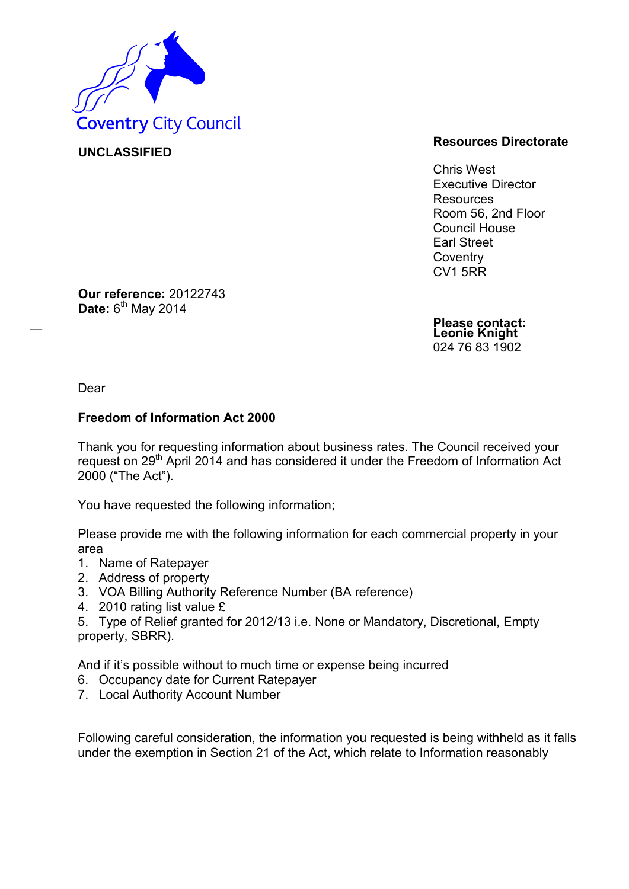

**Our reference:** 20122743

**Date:** 6<sup>th</sup> May 2014

**UNCLASSIFIED**

## **Resources Directorate**

Chris West Executive Director Resources Room 56, 2nd Floor Council House Earl Street **Coventry** CV1 5RR

**Please contact: Leonie Knight** 024 76 83 1902

Dear

## **Freedom of Information Act 2000**

Thank you for requesting information about business rates. The Council received your request on 29<sup>th</sup> April 2014 and has considered it under the Freedom of Information Act 2000 ("The Act").

You have requested the following information;

Please provide me with the following information for each commercial property in your area

- 1. Name of Ratepayer
- 2. Address of property
- 3. VOA Billing Authority Reference Number (BA reference)
- 4. 2010 rating list value £

5. Type of Relief granted for 2012/13 i.e. None or Mandatory, Discretional, Empty property, SBRR).

And if it's possible without to much time or expense being incurred

- 6. Occupancy date for Current Ratepayer
- 7. Local Authority Account Number

Following careful consideration, the information you requested is being withheld as it falls under the exemption in Section 21 of the Act, which relate to Information reasonably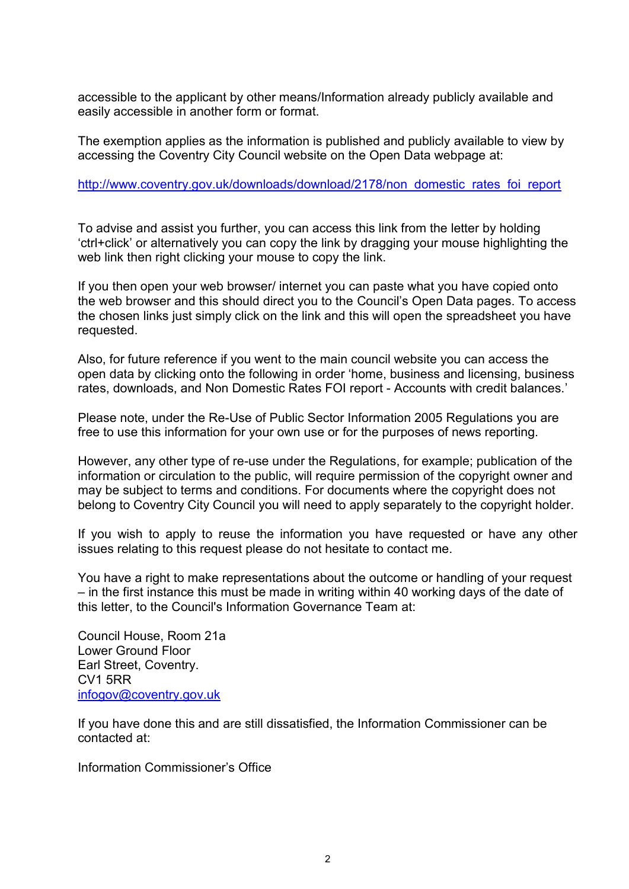accessible to the applicant by other means/Information already publicly available and easily accessible in another form or format.

The exemption applies as the information is published and publicly available to view by accessing the Coventry City Council website on the Open Data webpage at:

## [http://www.coventry.gov.uk/downloads/download/2178/non domestic rates foi report](http://www.coventry.gov.uk/downloads/download/2178/non_domestic_rates_foi_report)

To advise and assist you further, you can access this link from the letter by holding 'ctrl+click' or alternatively you can copy the link by dragging your mouse highlighting the web link then right clicking your mouse to copy the link.

If you then open your web browser/ internet you can paste what you have copied onto the web browser and this should direct you to the Council's Open Data pages. To access the chosen links just simply click on the link and this will open the spreadsheet you have requested.

Also, for future reference if you went to the main council website you can access the open data by clicking onto the following in order 'home, business and licensing, business rates, downloads, and Non Domestic Rates FOI report - Accounts with credit balances.'

Please note, under the Re-Use of Public Sector Information 2005 Regulations you are free to use this information for your own use or for the purposes of news reporting.

However, any other type of re-use under the Regulations, for example; publication of the information or circulation to the public, will require permission of the copyright owner and may be subject to terms and conditions. For documents where the copyright does not belong to Coventry City Council you will need to apply separately to the copyright holder.

If you wish to apply to reuse the information you have requested or have any other issues relating to this request please do not hesitate to contact me.

You have a right to make representations about the outcome or handling of your request – in the first instance this must be made in writing within 40 working days of the date of this letter, to the Council's Information Governance Team at:

Council House, Room 21a Lower Ground Floor Earl Street, Coventry. CV1 5RR [infogov@coventry.gov.uk](mailto:infogov@coventry.gov.uk)

If you have done this and are still dissatisfied, the Information Commissioner can be contacted at:

Information Commissioner's Office